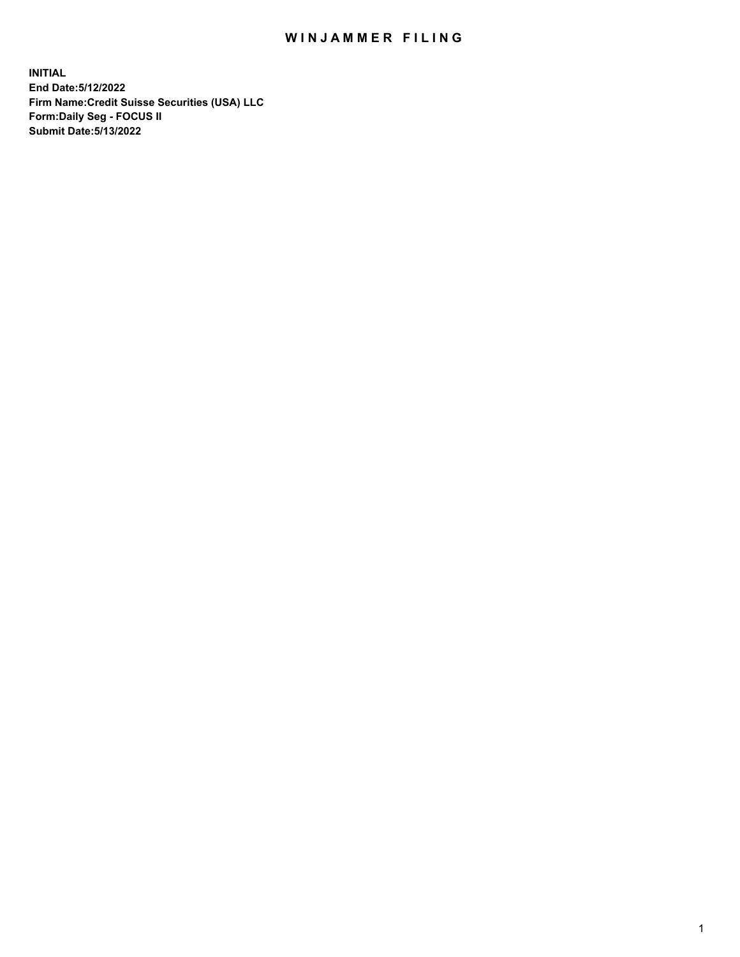# WIN JAMMER FILING

**INITIAL End Date:5/12/2022 Firm Name:Credit Suisse Securities (USA) LLC Form:Daily Seg - FOCUS II Submit Date:5/13/2022**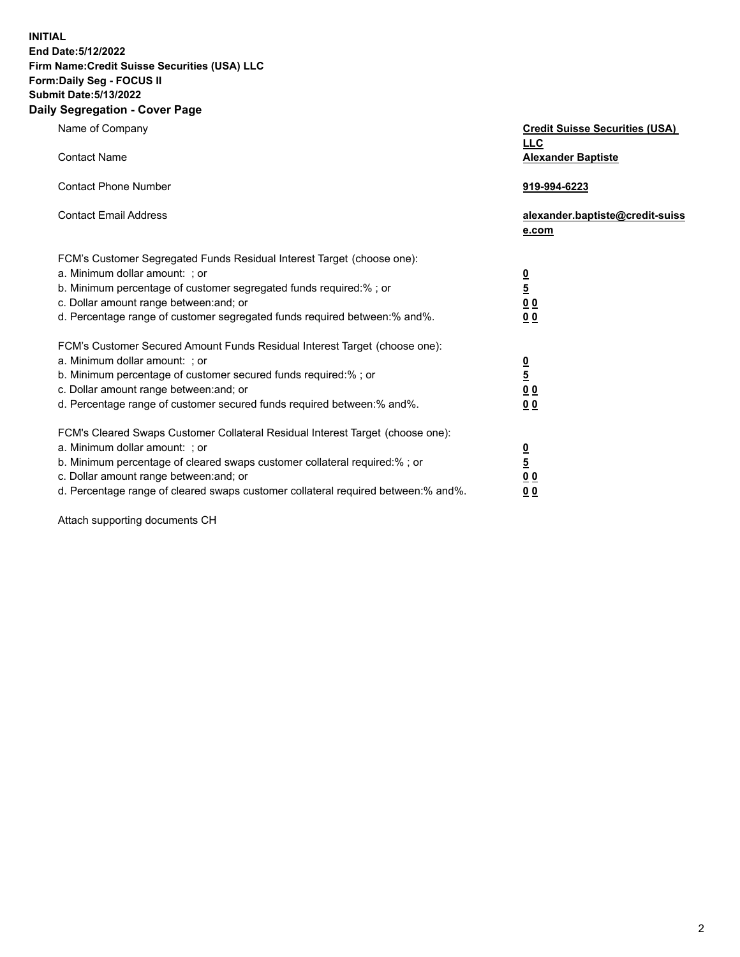**INITIAL End Date:5/12/2022** 

# **Firm Name:Credit Suisse Securities (USA) LLC Form:Daily Seg - FOCUS II Submit Date:5/13/2022**

#### **Daily Segregation - Cover Page**

| Name of Company                                                                                                                                                                                                                                                                                                                | <b>Credit Suisse Securities (USA)</b><br><b>LLC</b>              |
|--------------------------------------------------------------------------------------------------------------------------------------------------------------------------------------------------------------------------------------------------------------------------------------------------------------------------------|------------------------------------------------------------------|
| <b>Contact Name</b>                                                                                                                                                                                                                                                                                                            | <b>Alexander Baptiste</b>                                        |
| <b>Contact Phone Number</b>                                                                                                                                                                                                                                                                                                    | 919-994-6223                                                     |
| <b>Contact Email Address</b>                                                                                                                                                                                                                                                                                                   | alexander.baptiste@credit-suiss<br>e.com                         |
| FCM's Customer Segregated Funds Residual Interest Target (choose one):<br>a. Minimum dollar amount: ; or<br>b. Minimum percentage of customer segregated funds required:% ; or<br>c. Dollar amount range between: and; or<br>d. Percentage range of customer segregated funds required between:% and%.                         | $\frac{\frac{0}{5}}{\frac{0}{0}}$<br>0 <sub>0</sub>              |
| FCM's Customer Secured Amount Funds Residual Interest Target (choose one):<br>a. Minimum dollar amount: ; or<br>b. Minimum percentage of customer secured funds required:% ; or<br>c. Dollar amount range between: and; or<br>d. Percentage range of customer secured funds required between:% and%.                           | $\frac{0}{5}$<br>$\underline{0} \underline{0}$<br>0 <sub>0</sub> |
| FCM's Cleared Swaps Customer Collateral Residual Interest Target (choose one):<br>a. Minimum dollar amount: ; or<br>b. Minimum percentage of cleared swaps customer collateral required:% ; or<br>c. Dollar amount range between: and; or<br>d. Percentage range of cleared swaps customer collateral required between:% and%. | $\frac{0}{5}$<br>0 <sub>0</sub><br>0 <sub>0</sub>                |

Attach supporting documents CH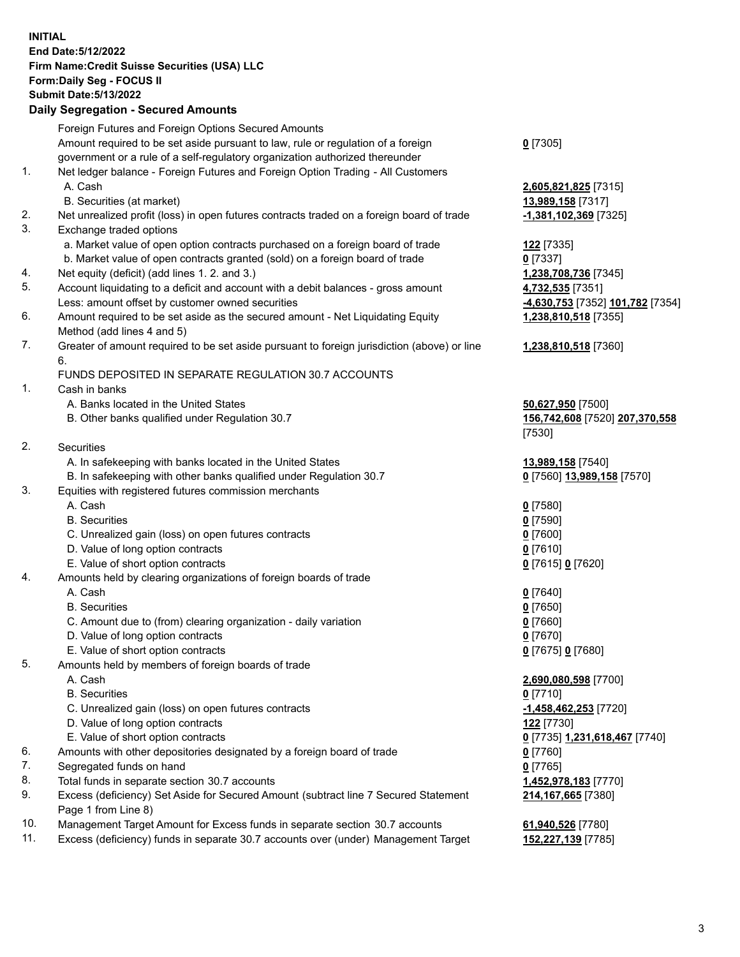### **INITIAL End Date:5/12/2022 Firm Name:Credit Suisse Securities (USA) LLC Form:Daily Seg - FOCUS II Submit Date:5/13/2022**

### **Daily Segregation - Secured Amounts**

|     | Foreign Futures and Foreign Options Secured Amounts                                                        |                                  |
|-----|------------------------------------------------------------------------------------------------------------|----------------------------------|
|     | Amount required to be set aside pursuant to law, rule or regulation of a foreign                           | $0$ [7305]                       |
|     | government or a rule of a self-regulatory organization authorized thereunder                               |                                  |
| 1.  | Net ledger balance - Foreign Futures and Foreign Option Trading - All Customers                            |                                  |
|     | A. Cash                                                                                                    | 2,605,821,825 [7315]             |
|     | B. Securities (at market)                                                                                  | 13,989,158 [7317]                |
| 2.  | Net unrealized profit (loss) in open futures contracts traded on a foreign board of trade                  | -1,381,102,369 [7325]            |
| 3.  | Exchange traded options                                                                                    |                                  |
|     | a. Market value of open option contracts purchased on a foreign board of trade                             | 122 <sub>[7335]</sub>            |
|     | b. Market value of open contracts granted (sold) on a foreign board of trade                               | $0$ [7337]                       |
| 4.  | Net equity (deficit) (add lines 1. 2. and 3.)                                                              | 1,238,708,736 [7345]             |
| 5.  | Account liquidating to a deficit and account with a debit balances - gross amount                          | 4,732,535 [7351]                 |
|     | Less: amount offset by customer owned securities                                                           | -4,630,753 [7352] 101,782 [7354] |
| 6.  | Amount required to be set aside as the secured amount - Net Liquidating Equity                             | 1,238,810,518 [7355]             |
|     | Method (add lines 4 and 5)                                                                                 |                                  |
| 7.  | Greater of amount required to be set aside pursuant to foreign jurisdiction (above) or line                | 1,238,810,518 [7360]             |
|     | 6.                                                                                                         |                                  |
|     | FUNDS DEPOSITED IN SEPARATE REGULATION 30.7 ACCOUNTS                                                       |                                  |
| 1.  | Cash in banks                                                                                              |                                  |
|     | A. Banks located in the United States                                                                      | 50,627,950 [7500]                |
|     | B. Other banks qualified under Regulation 30.7                                                             | 156,742,608 [7520] 207,370,558   |
|     |                                                                                                            | [7530]                           |
| 2.  | Securities                                                                                                 |                                  |
|     | A. In safekeeping with banks located in the United States                                                  | 13,989,158 [7540]                |
|     | B. In safekeeping with other banks qualified under Regulation 30.7                                         | 0 [7560] 13,989,158 [7570]       |
| 3.  | Equities with registered futures commission merchants                                                      |                                  |
|     | A. Cash                                                                                                    | $0$ [7580]                       |
|     | <b>B.</b> Securities                                                                                       | $0$ [7590]                       |
|     | C. Unrealized gain (loss) on open futures contracts                                                        | $0$ [7600]                       |
|     | D. Value of long option contracts                                                                          | $0$ [7610]                       |
|     | E. Value of short option contracts                                                                         | 0 [7615] 0 [7620]                |
| 4.  | Amounts held by clearing organizations of foreign boards of trade                                          |                                  |
|     | A. Cash                                                                                                    | $0$ [7640]                       |
|     | <b>B.</b> Securities                                                                                       | $0$ [7650]                       |
|     | C. Amount due to (from) clearing organization - daily variation                                            | $0$ [7660]                       |
|     | D. Value of long option contracts                                                                          | $0$ [7670]                       |
|     | E. Value of short option contracts                                                                         | 0 [7675] 0 [7680]                |
| 5.  | Amounts held by members of foreign boards of trade                                                         |                                  |
|     | A. Cash                                                                                                    | 2,690,080,598 [7700]             |
|     | <b>B.</b> Securities                                                                                       | $0$ [7710]                       |
|     |                                                                                                            | $-1,458,462,253$ [7720]          |
|     | C. Unrealized gain (loss) on open futures contracts<br>D. Value of long option contracts                   |                                  |
|     |                                                                                                            | 122 [7730]                       |
|     | E. Value of short option contracts                                                                         | 0 [7735] 1,231,618,467 [7740]    |
| 6.  | Amounts with other depositories designated by a foreign board of trade                                     | $0$ [7760]                       |
| 7.  | Segregated funds on hand                                                                                   | $0$ [7765]                       |
| 8.  | Total funds in separate section 30.7 accounts                                                              | 1,452,978,183 [7770]             |
| 9.  | Excess (deficiency) Set Aside for Secured Amount (subtract line 7 Secured Statement<br>Page 1 from Line 8) | 214,167,665 [7380]               |
| 10. | Management Target Amount for Excess funds in separate section 30.7 accounts                                | 61,940,526 [7780]                |

11. Excess (deficiency) funds in separate 30.7 accounts over (under) Management Target **152,227,139** [7785]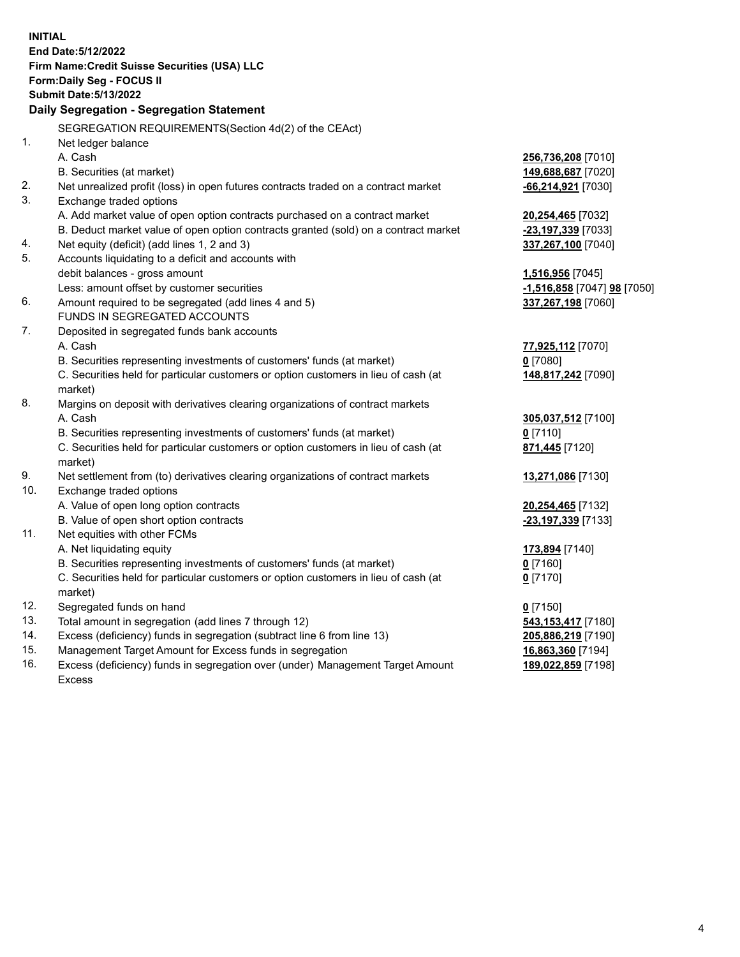|     | <b>INITIAL</b>                                                                      |                              |
|-----|-------------------------------------------------------------------------------------|------------------------------|
|     | End Date: 5/12/2022                                                                 |                              |
|     | Firm Name: Credit Suisse Securities (USA) LLC                                       |                              |
|     | Form: Daily Seg - FOCUS II                                                          |                              |
|     | <b>Submit Date: 5/13/2022</b>                                                       |                              |
|     | Daily Segregation - Segregation Statement                                           |                              |
|     | SEGREGATION REQUIREMENTS(Section 4d(2) of the CEAct)                                |                              |
| 1.  | Net ledger balance                                                                  |                              |
|     | A. Cash                                                                             | 256,736,208 [7010]           |
|     | B. Securities (at market)                                                           | 149,688,687 [7020]           |
| 2.  | Net unrealized profit (loss) in open futures contracts traded on a contract market  | -66,214,921 [7030]           |
| 3.  | Exchange traded options                                                             |                              |
|     | A. Add market value of open option contracts purchased on a contract market         | 20,254,465 [7032]            |
|     | B. Deduct market value of open option contracts granted (sold) on a contract market | -23,197,339 [7033]           |
| 4.  | Net equity (deficit) (add lines 1, 2 and 3)                                         | 337,267,100 [7040]           |
| 5.  | Accounts liquidating to a deficit and accounts with                                 |                              |
|     | debit balances - gross amount                                                       | 1,516,956 [7045]             |
|     | Less: amount offset by customer securities                                          | -1,516,858 [7047] 98 [7050]  |
| 6.  | Amount required to be segregated (add lines 4 and 5)                                | 337,267,198 [7060]           |
|     | FUNDS IN SEGREGATED ACCOUNTS                                                        |                              |
| 7.  | Deposited in segregated funds bank accounts                                         |                              |
|     | A. Cash                                                                             | 77,925,112 [7070]            |
|     | B. Securities representing investments of customers' funds (at market)              | $0$ [7080]                   |
|     | C. Securities held for particular customers or option customers in lieu of cash (at | 148,817,242 [7090]           |
|     | market)                                                                             |                              |
| 8.  | Margins on deposit with derivatives clearing organizations of contract markets      |                              |
|     | A. Cash                                                                             | 305,037,512 [7100]           |
|     | B. Securities representing investments of customers' funds (at market)              | $0$ [7110]                   |
|     | C. Securities held for particular customers or option customers in lieu of cash (at | 871,445 [7120]               |
|     | market)                                                                             |                              |
| 9.  | Net settlement from (to) derivatives clearing organizations of contract markets     | 13,271,086 [7130]            |
| 10. | Exchange traded options                                                             |                              |
|     | A. Value of open long option contracts                                              | 20,254,465 [7132]            |
| 11. | B. Value of open short option contracts<br>Net equities with other FCMs             | -23,197,339 [7133]           |
|     | A. Net liquidating equity                                                           |                              |
|     | B. Securities representing investments of customers' funds (at market)              | 173,894 [7140]<br>$0$ [7160] |
|     | C. Securities held for particular customers or option customers in lieu of cash (at | $0$ [7170]                   |
|     | market)                                                                             |                              |
| 12. | Segregated funds on hand                                                            | $0$ [7150]                   |
| 13. | Total amount in segregation (add lines 7 through 12)                                | 543,153,417 [7180]           |
| 14. | Excess (deficiency) funds in segregation (subtract line 6 from line 13)             | 205,886,219 [7190]           |
| 15. | Management Target Amount for Excess funds in segregation                            | 16,863,360 [7194]            |
| 16. | Excess (deficiency) funds in segregation over (under) Management Target Amount      | 189,022,859 [7198]           |
|     | <b>Excess</b>                                                                       |                              |